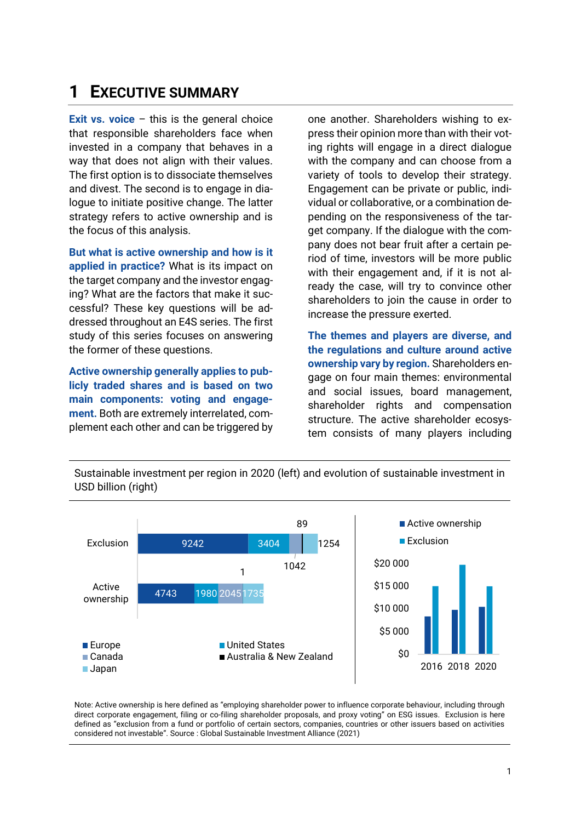## **1 EXECUTIVE SUMMARY**

**Exit vs. voice** – this is the general choice that responsible shareholders face when invested in a company that behaves in a way that does not align with their values. The first option is to dissociate themselves and divest. The second is to engage in dialogue to initiate positive change. The latter strategy refers to active ownership and is the focus of this analysis.

**But what is active ownership and how is it applied in practice?** What is its impact on the target company and the investor engaging? What are the factors that make it successful? These key questions will be addressed throughout an E4S series. The first study of this series focuses on answering the former of these questions.

**Active ownership generally applies to publicly traded shares and is based on two main components: voting and engagement.** Both are extremely interrelated, complement each other and can be triggered by

one another. Shareholders wishing to express their opinion more than with their voting rights will engage in a direct dialogue with the company and can choose from a variety of tools to develop their strategy. Engagement can be private or public, individual or collaborative, or a combination depending on the responsiveness of the target company. If the dialogue with the company does not bear fruit after a certain period of time, investors will be more public with their engagement and, if it is not already the case, will try to convince other shareholders to join the cause in order to increase the pressure exerted.

**The themes and players are diverse, and the regulations and culture around active ownership vary by region.** Shareholders engage on four main themes: environmental and social issues, board management, shareholder rights and compensation structure. The active shareholder ecosystem consists of many players including

Sustainable investment per region in 2020 (left) and evolution of sustainable investment in USD billion (right)



Note: Active ownership is here defined as "employing shareholder power to influence corporate behaviour, including through direct corporate engagement, filing or co-filing shareholder proposals, and proxy voting" on ESG issues. Exclusion is here defined as "exclusion from a fund or portfolio of certain sectors, companies, countries or other issuers based on activities considered not investable". Source : Global Sustainable Investment Alliance (2021)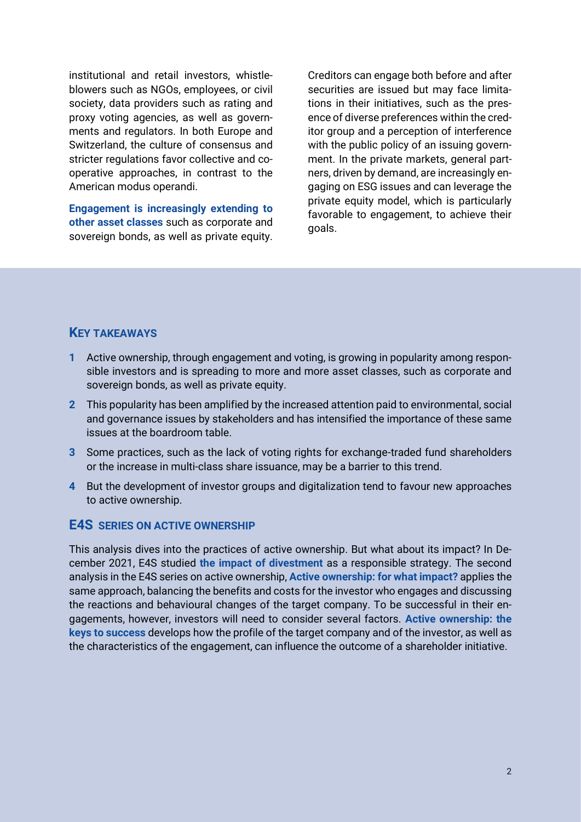institutional and retail investors, whistleblowers such as NGOs, employees, or civil society, data providers such as rating and proxy voting agencies, as well as governments and regulators. In both Europe and Switzerland, the culture of consensus and stricter regulations favor collective and cooperative approaches, in contrast to the American modus operandi.

**Engagement is increasingly extending to other asset classes** such as corporate and sovereign bonds, as well as private equity.

Creditors can engage both before and after securities are issued but may face limitations in their initiatives, such as the presence of diverse preferences within the creditor group and a perception of interference with the public policy of an issuing government. In the private markets, general partners, driven by demand, are increasingly engaging on ESG issues and can leverage the private equity model, which is particularly favorable to engagement, to achieve their goals.

## **KEY TAKEAWAYS**

- **1** Active ownership, through engagement and voting, is growing in popularity among responsible investors and is spreading to more and more asset classes, such as corporate and sovereign bonds, as well as private equity.
- **2** This popularity has been amplified by the increased attention paid to environmental, social and governance issues by stakeholders and has intensified the importance of these same issues at the boardroom table.
- **3** Some practices, such as the lack of voting rights for exchange-traded fund shareholders or the increase in multi-class share issuance, may be a barrier to this trend.
- **4** But the development of investor groups and digitalization tend to favour new approaches to active ownership.

## **E4S SERIES ON ACTIVE OWNERSHIP**

This analysis dives into the practices of active ownership. But what about its impact? In December 2021, E4S studied **[the impact of divestment](https://e4s.center/document/divesting-for-what-impact/)** as a responsible strategy. The second analysis in the E4S series on active ownership, **[Active ownership: for what impact?](https://e4s.center/document/active-ownership-for-what-impact/)** applies the same approach, balancing the benefits and costs for the investor who engages and discussing the reactions and behavioural changes of the target company. To be successful in their engagements, however, investors will need to consider several factors. **[Active ownership: the](https://e4s.center/document/active-ownership-the-keys-of-success)  [keys to success](https://e4s.center/document/active-ownership-the-keys-of-success)** develops how the profile of the target company and of the investor, as well as the characteristics of the engagement, can influence the outcome of a shareholder initiative.